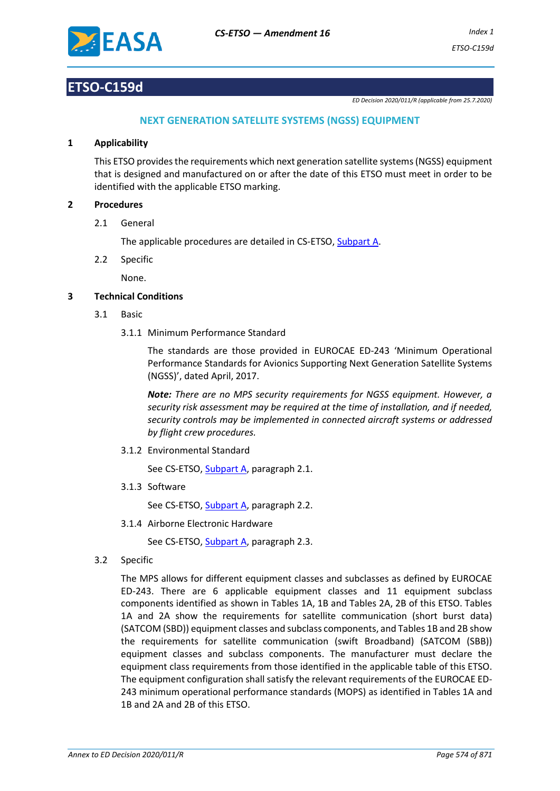

# **ETSO-C159d**

*ED Decision 2020/011/R (applicable from 25.7.2020)*

### **NEXT GENERATION SATELLITE SYSTEMS (NGSS) EQUIPMENT**

#### **1 Applicability**

This ETSO provides the requirements which next generation satellite systems (NGSS) equipment that is designed and manufactured on or after the date of this ETSO must meet in order to be identified with the applicable ETSO marking.

### **2 Procedures**

2.1 General

The applicable procedures are detailed in CS-ETSO, Subpart A.

2.2 Specific

None.

### **3 Technical Conditions**

- 3.1 Basic
	- 3.1.1 Minimum Performance Standard

The standards are those provided in EUROCAE ED-243 'Minimum Operational Performance Standards for Avionics Supporting Next Generation Satellite Systems (NGSS)', dated April, 2017.

*Note: There are no MPS security requirements for NGSS equipment. However, a security risk assessment may be required at the time of installation, and if needed, security controls may be implemented in connected aircraft systems or addressed by flight crew procedures.*

3.1.2 Environmental Standard

See CS-ETSO, Subpart A, paragraph 2.1.

3.1.3 Software

See CS-ETSO, Subpart A, paragraph 2.2.

3.1.4 Airborne Electronic Hardware

See CS-ETSO, Subpart A, paragraph 2.3.

3.2 Specific

The MPS allows for different equipment classes and subclasses as defined by EUROCAE ED-243. There are 6 applicable equipment classes and 11 equipment subclass components identified as shown in Tables 1A, 1B and Tables 2A, 2B of this ETSO. Tables 1A and 2A show the requirements for satellite communication (short burst data) (SATCOM (SBD)) equipment classes and subclass components, and Tables 1B and 2B show the requirements for satellite communication (swift Broadband) (SATCOM (SBB)) equipment classes and subclass components. The manufacturer must declare the equipment class requirements from those identified in the applicable table of this ETSO. The equipment configuration shall satisfy the relevant requirements of the EUROCAE ED-243 minimum operational performance standards (MOPS) as identified in Tables 1A and 1B and 2A and 2B of this ETSO.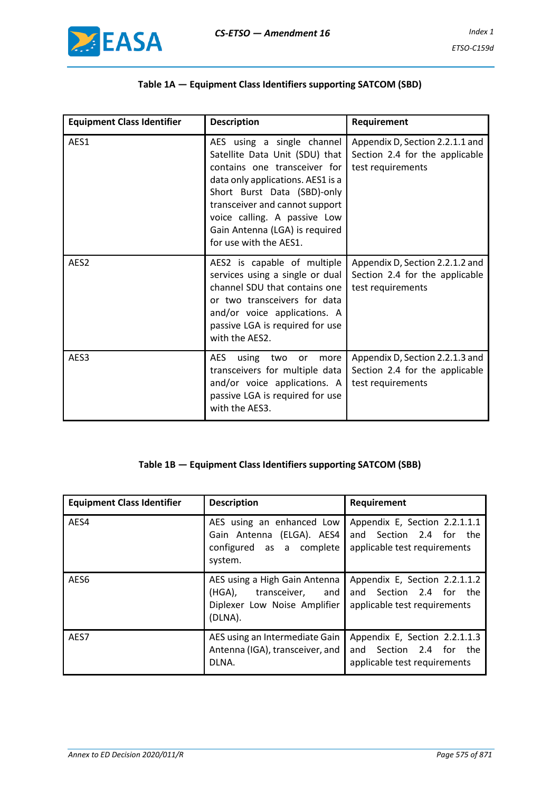

# **Table 1A — Equipment Class Identifiers supporting SATCOM (SBD)**

| <b>Equipment Class Identifier</b> | <b>Description</b>                                                                                                                                                                                                                                                                             | Requirement                                                                            |  |  |  |
|-----------------------------------|------------------------------------------------------------------------------------------------------------------------------------------------------------------------------------------------------------------------------------------------------------------------------------------------|----------------------------------------------------------------------------------------|--|--|--|
| AES1                              | AES using a single channel<br>Satellite Data Unit (SDU) that<br>contains one transceiver for<br>data only applications. AES1 is a<br>Short Burst Data (SBD)-only<br>transceiver and cannot support<br>voice calling. A passive Low<br>Gain Antenna (LGA) is required<br>for use with the AES1. | Appendix D, Section 2.2.1.1 and<br>Section 2.4 for the applicable<br>test requirements |  |  |  |
| AES <sub>2</sub>                  | AES2 is capable of multiple<br>services using a single or dual<br>channel SDU that contains one<br>or two transceivers for data<br>and/or voice applications. A<br>passive LGA is required for use<br>with the AES2.                                                                           | Appendix D, Section 2.2.1.2 and<br>Section 2.4 for the applicable<br>test requirements |  |  |  |
| AES3                              | AES.<br>using<br>two<br>more<br>or<br>transceivers for multiple data<br>and/or voice applications. A<br>passive LGA is required for use<br>with the AES3.                                                                                                                                      | Appendix D, Section 2.2.1.3 and<br>Section 2.4 for the applicable<br>test requirements |  |  |  |

# **Table 1B — Equipment Class Identifiers supporting SATCOM (SBB)**

| <b>Equipment Class Identifier</b> | <b>Description</b>                                                                                  | Requirement                                                                                 |  |  |  |  |  |
|-----------------------------------|-----------------------------------------------------------------------------------------------------|---------------------------------------------------------------------------------------------|--|--|--|--|--|
| AES4                              | AES using an enhanced Low<br>Gain Antenna (ELGA). AES4<br>configured as a complete<br>system.       | Appendix E, Section 2.2.1.1.1<br>Section 2.4 for the<br>and<br>applicable test requirements |  |  |  |  |  |
| AES <sub>6</sub>                  | AES using a High Gain Antenna<br>(HGA), transceiver, and<br>Diplexer Low Noise Amplifier<br>(DLNA). | Appendix E, Section 2.2.1.1.2<br>Section 2.4 for the<br>and<br>applicable test requirements |  |  |  |  |  |
| AES7                              | AES using an Intermediate Gain<br>Antenna (IGA), transceiver, and<br>DLNA.                          | Appendix E, Section 2.2.1.1.3<br>Section 2.4 for the<br>and<br>applicable test requirements |  |  |  |  |  |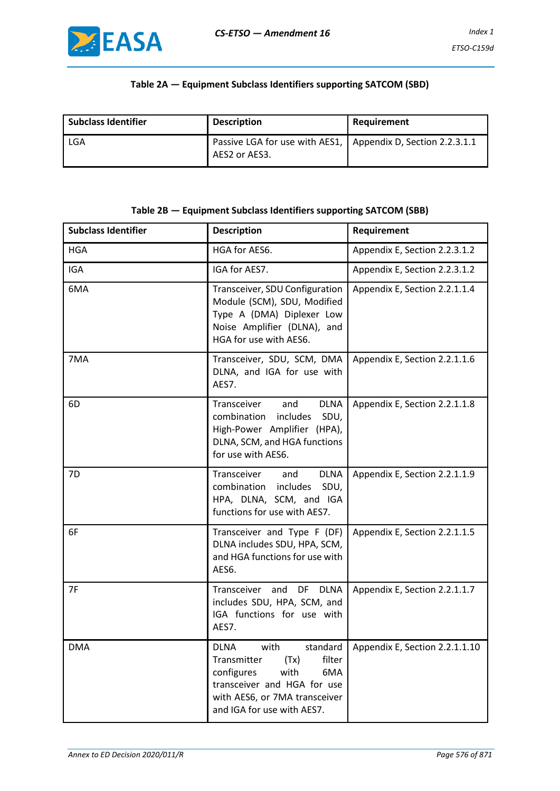### **Table 2A — Equipment Subclass Identifiers supporting SATCOM (SBD)**

| <b>Subclass Identifier</b> | <b>Description</b>                                                              | Requirement |  |  |  |
|----------------------------|---------------------------------------------------------------------------------|-------------|--|--|--|
| LGA                        | Passive LGA for use with AES1,   Appendix D, Section 2.2.3.1.1<br>AES2 or AES3. |             |  |  |  |

### **Table 2B — Equipment Subclass Identifiers supporting SATCOM (SBB)**

| <b>Subclass Identifier</b> | <b>Description</b>                                                                                                                                                                          | Requirement                    |
|----------------------------|---------------------------------------------------------------------------------------------------------------------------------------------------------------------------------------------|--------------------------------|
| <b>HGA</b>                 | HGA for AES6.                                                                                                                                                                               | Appendix E, Section 2.2.3.1.2  |
| IGA                        | IGA for AES7.                                                                                                                                                                               | Appendix E, Section 2.2.3.1.2  |
| 6MA                        | Transceiver, SDU Configuration<br>Module (SCM), SDU, Modified<br>Type A (DMA) Diplexer Low<br>Noise Amplifier (DLNA), and<br>HGA for use with AES6.                                         | Appendix E, Section 2.2.1.1.4  |
| 7MA                        | Transceiver, SDU, SCM, DMA<br>DLNA, and IGA for use with<br>AES7.                                                                                                                           | Appendix E, Section 2.2.1.1.6  |
| 6D                         | Transceiver<br><b>DLNA</b><br>and<br>combination<br>includes<br>SDU,<br>High-Power Amplifier (HPA),<br>DLNA, SCM, and HGA functions<br>for use with AES6.                                   | Appendix E, Section 2.2.1.1.8  |
| 7D                         | Transceiver<br><b>DLNA</b><br>and<br>combination includes<br>SDU,<br>HPA, DLNA, SCM, and IGA<br>functions for use with AES7.                                                                | Appendix E, Section 2.2.1.1.9  |
| 6F                         | Transceiver and Type F (DF)<br>DLNA includes SDU, HPA, SCM,<br>and HGA functions for use with<br>AES6.                                                                                      | Appendix E, Section 2.2.1.1.5  |
| 7F                         | Transceiver<br>and<br><b>DLNA</b><br>DF<br>includes SDU, HPA, SCM, and<br>IGA functions for use with<br>AES7.                                                                               | Appendix E, Section 2.2.1.1.7  |
| <b>DMA</b>                 | standard<br><b>DLNA</b><br>with<br>filter<br>Transmitter<br>(Tx)<br>configures<br>with<br>6MA<br>transceiver and HGA for use<br>with AES6, or 7MA transceiver<br>and IGA for use with AES7. | Appendix E, Section 2.2.1.1.10 |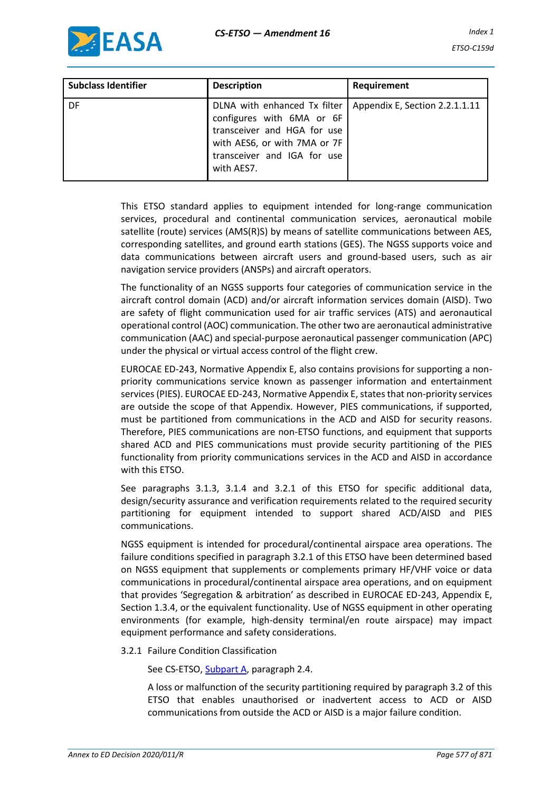

| <b>Subclass Identifier</b> | <b>Description</b>                                                                                                                                                    | Requirement                    |
|----------------------------|-----------------------------------------------------------------------------------------------------------------------------------------------------------------------|--------------------------------|
| DF                         | DLNA with enhanced Tx filter<br>configures with 6MA or 6F<br>transceiver and HGA for use<br>with AES6, or with 7MA or 7F<br>transceiver and IGA for use<br>with AES7. | Appendix E, Section 2.2.1.1.11 |

This ETSO standard applies to equipment intended for long-range communication services, procedural and continental communication services, aeronautical mobile satellite (route) services (AMS(R)S) by means of satellite communications between AES, corresponding satellites, and ground earth stations (GES). The NGSS supports voice and data communications between aircraft users and ground-based users, such as air navigation service providers (ANSPs) and aircraft operators.

The functionality of an NGSS supports four categories of communication service in the aircraft control domain (ACD) and/or aircraft information services domain (AISD). Two are safety of flight communication used for air traffic services (ATS) and aeronautical operational control (AOC) communication. The other two are aeronautical administrative communication (AAC) and special-purpose aeronautical passenger communication (APC) under the physical or virtual access control of the flight crew.

EUROCAE ED-243, Normative Appendix E, also contains provisions for supporting a nonpriority communications service known as passenger information and entertainment services (PIES). EUROCAE ED-243, Normative Appendix E, states that non-priority services are outside the scope of that Appendix. However, PIES communications, if supported, must be partitioned from communications in the ACD and AISD for security reasons. Therefore, PIES communications are non-ETSO functions, and equipment that supports shared ACD and PIES communications must provide security partitioning of the PIES functionality from priority communications services in the ACD and AISD in accordance with this ETSO.

See paragraphs 3.1.3, 3.1.4 and 3.2.1 of this ETSO for specific additional data, design/security assurance and verification requirements related to the required security partitioning for equipment intended to support shared ACD/AISD and PIES communications.

NGSS equipment is intended for procedural/continental airspace area operations. The failure conditions specified in paragraph 3.2.1 of this ETSO have been determined based on NGSS equipment that supplements or complements primary HF/VHF voice or data communications in procedural/continental airspace area operations, and on equipment that provides 'Segregation & arbitration' as described in EUROCAE ED-243, Appendix E, Section 1.3.4, or the equivalent functionality. Use of NGSS equipment in other operating environments (for example, high-density terminal/en route airspace) may impact equipment performance and safety considerations.

#### 3.2.1 Failure Condition Classification

See CS-ETSO, Subpart A, paragraph 2.4.

A loss or malfunction of the security partitioning required by paragraph 3.2 of this ETSO that enables unauthorised or inadvertent access to ACD or AISD communications from outside the ACD or AISD is a major failure condition.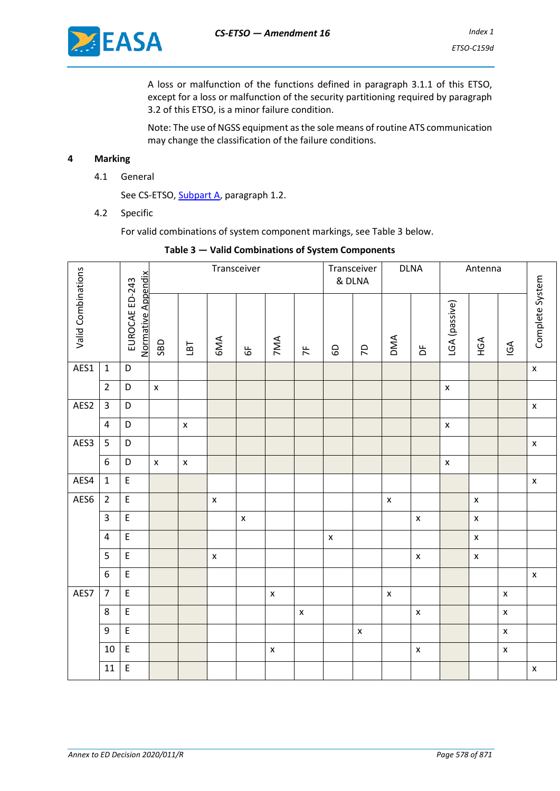

A loss or malfunction of the functions defined in paragraph 3.1.1 of this ETSO, except for a loss or malfunction of the security partitioning required by paragraph 3.2 of this ETSO, is a minor failure condition.

Note: The use of NGSS equipment as the sole means of routine ATS communication may change the classification of the failure conditions.

#### **4 Marking**

4.1 General

See CS-ETSO, Subpart A, paragraph 1.2.

4.2 Specific

For valid combinations of system component markings, see Table 3 below.

|  |                    |                         |                                            | Transceiver        |                    |                    |                    | Transceiver<br>& DLNA | <b>DLNA</b>        |                    | Antenna                  |                    |                         |                    |                           |                          |                    |
|--|--------------------|-------------------------|--------------------------------------------|--------------------|--------------------|--------------------|--------------------|-----------------------|--------------------|--------------------|--------------------------|--------------------|-------------------------|--------------------|---------------------------|--------------------------|--------------------|
|  | Valid Combinations |                         | Normative Appendix<br>EUROCAE ED-243       | <b>GBD</b>         | 181                | 6MA                | $\overline{6}$     | 7MA                   | 7 <sup>F</sup>     | GD                 | $\overline{\mathcal{L}}$ | DMA                | $\overline{\mathsf{b}}$ | LGA (passive)      | HGA                       | $\overline{\mathsf{SO}}$ | Complete System    |
|  | AES1               | $\mathbf 1$             | $\mathsf D$                                |                    |                    |                    |                    |                       |                    |                    |                          |                    |                         |                    |                           |                          | $\bar{\mathbf{x}}$ |
|  |                    | $\overline{2}$          | D                                          | $\pmb{\mathsf{x}}$ |                    |                    |                    |                       |                    |                    |                          |                    |                         | $\pmb{\times}$     |                           |                          |                    |
|  | AES2               | $\overline{3}$          | D                                          |                    |                    |                    |                    |                       |                    |                    |                          |                    |                         |                    |                           |                          | $\bar{\mathbf{x}}$ |
|  |                    | $\overline{\mathbf{4}}$ | D                                          |                    | $\pmb{\mathsf{x}}$ |                    |                    |                       |                    |                    |                          |                    |                         | $\pmb{\mathsf{x}}$ |                           |                          |                    |
|  | AES3               | 5                       | $\mathsf D$                                |                    |                    |                    |                    |                       |                    |                    |                          |                    |                         |                    |                           |                          | $\mathsf X$        |
|  |                    | $\boldsymbol{6}$        | D                                          | $\pmb{\times}$     | $\pmb{\mathsf{x}}$ |                    |                    |                       |                    |                    |                          |                    |                         | $\pmb{\mathsf{x}}$ |                           |                          |                    |
|  | AES4               | $\mathbf{1}$            | $\mathsf{E}% _{0}\left( \mathsf{E}\right)$ |                    |                    |                    |                    |                       |                    |                    |                          |                    |                         |                    |                           |                          | $\mathsf X$        |
|  | AES6               | $\overline{2}$          | $\mathsf{E}% _{0}\left( \mathsf{E}\right)$ |                    |                    | $\pmb{\mathsf{x}}$ |                    |                       |                    |                    |                          | $\pmb{\mathsf{x}}$ |                         |                    | $\pmb{\mathsf{x}}$        |                          |                    |
|  |                    | $\overline{\mathbf{3}}$ | $\mathsf E$                                |                    |                    |                    | $\pmb{\mathsf{x}}$ |                       |                    |                    |                          |                    | $\pmb{\mathsf{x}}$      |                    | $\pmb{\mathsf{x}}$        |                          |                    |
|  |                    | $\overline{\mathbf{4}}$ | $\mathsf{E}$                               |                    |                    |                    |                    |                       |                    | $\pmb{\mathsf{x}}$ |                          |                    |                         |                    | $\boldsymbol{\mathsf{x}}$ |                          |                    |
|  |                    | $\overline{5}$          | $\overline{E}$                             |                    |                    | $\pmb{\mathsf{x}}$ |                    |                       |                    |                    |                          |                    | $\pmb{\mathsf{x}}$      |                    | $\pmb{\mathsf{x}}$        |                          |                    |
|  |                    | 6                       | $\mathsf{E}% _{0}\left( \mathsf{E}\right)$ |                    |                    |                    |                    |                       |                    |                    |                          |                    |                         |                    |                           |                          | $\bar{\mathbf{x}}$ |
|  | AES7               | $\overline{7}$          | $\mathsf{E}$                               |                    |                    |                    |                    | $\pmb{\mathsf{x}}$    |                    |                    |                          | $\pmb{\mathsf{x}}$ |                         |                    |                           | $\pmb{\mathsf{X}}$       |                    |
|  |                    | 8                       | $\mathsf{E}% _{0}\left( \mathsf{E}\right)$ |                    |                    |                    |                    |                       | $\pmb{\mathsf{X}}$ |                    |                          |                    | $\pmb{\mathsf{x}}$      |                    |                           | $\pmb{\mathsf{X}}$       |                    |
|  |                    | $\boldsymbol{9}$        | $\mathsf E$                                |                    |                    |                    |                    |                       |                    |                    | $\pmb{\mathsf{x}}$       |                    |                         |                    |                           | $\bar{\mathbf{X}}$       |                    |
|  |                    | 10                      | $\mathsf{E}% _{0}\left( \mathsf{E}\right)$ |                    |                    |                    |                    | $\pmb{\mathsf{x}}$    |                    |                    |                          |                    | $\pmb{\mathsf{x}}$      |                    |                           | $\pmb{\mathsf{x}}$       |                    |
|  |                    | $11\,$                  | $\mathsf E$                                |                    |                    |                    |                    |                       |                    |                    |                          |                    |                         |                    |                           |                          | $\pmb{\mathsf{x}}$ |

#### **Table 3 — Valid Combinations of System Components**